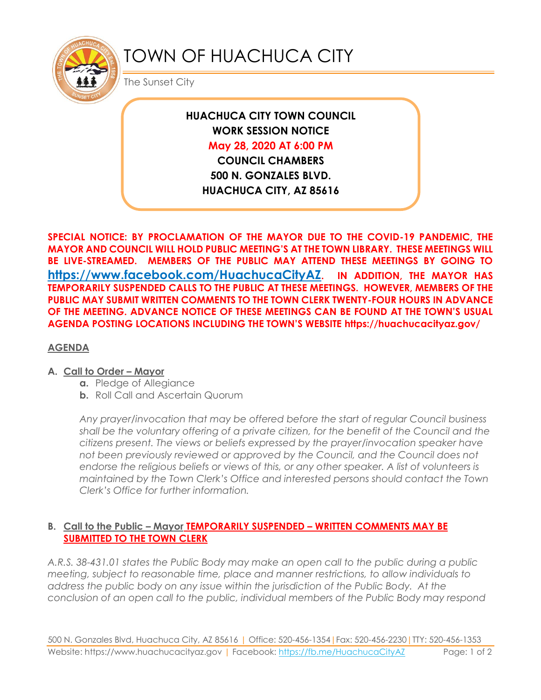![](_page_0_Picture_0.jpeg)

# TOWN OF HUACHUCA CITY

The Sunset City

**HUACHUCA CITY TOWN COUNCIL WORK SESSION NOTICE May 28, 2020 AT 6:00 PM COUNCIL CHAMBERS**

**500 N. GONZALES BLVD. HUACHUCA CITY, AZ 85616**

**SPECIAL NOTICE: BY PROCLAMATION OF THE MAYOR DUE TO THE COVID-19 PANDEMIC, THE MAYOR AND COUNCIL WILL HOLD PUBLIC MEETING'S AT THE TOWN LIBRARY. THESE MEETINGS WILL BE LIVE-STREAMED. MEMBERS OF THE PUBLIC MAY ATTEND THESE MEETINGS BY GOING TO <https://www.facebook.com/HuachucaCityAZ>. IN ADDITION, THE MAYOR HAS TEMPORARILY SUSPENDED CALLS TO THE PUBLIC AT THESE MEETINGS. HOWEVER, MEMBERS OF THE PUBLIC MAY SUBMIT WRITTEN COMMENTS TO THE TOWN CLERK TWENTY-FOUR HOURS IN ADVANCE OF THE MEETING. ADVANCE NOTICE OF THESE MEETINGS CAN BE FOUND AT THE TOWN'S USUAL AGENDA POSTING LOCATIONS INCLUDING THE TOWN'S WEBSITE https://huachucacityaz.gov/**

## **AGENDA**

### **A. Call to Order – Mayor**

- **a.** Pledge of Allegiance
- **b.** Roll Call and Ascertain Quorum

*Any prayer/invocation that may be offered before the start of regular Council business shall be the voluntary offering of a private citizen, for the benefit of the Council and the citizens present. The views or beliefs expressed by the prayer/invocation speaker have not been previously reviewed or approved by the Council, and the Council does not endorse the religious beliefs or views of this, or any other speaker. A list of volunteers is maintained by the Town Clerk's Office and interested persons should contact the Town Clerk's Office for further information.*

## **B. Call to the Public – Mayor TEMPORARILY SUSPENDED – WRITTEN COMMENTS MAY BE SUBMITTED TO THE TOWN CLERK**

*A.R.S. 38-431.01 states the Public Body may make an open call to the public during a public meeting, subject to reasonable time, place and manner restrictions, to allow individuals to address the public body on any issue within the jurisdiction of the Public Body. At the conclusion of an open call to the public, individual members of the Public Body may respond*